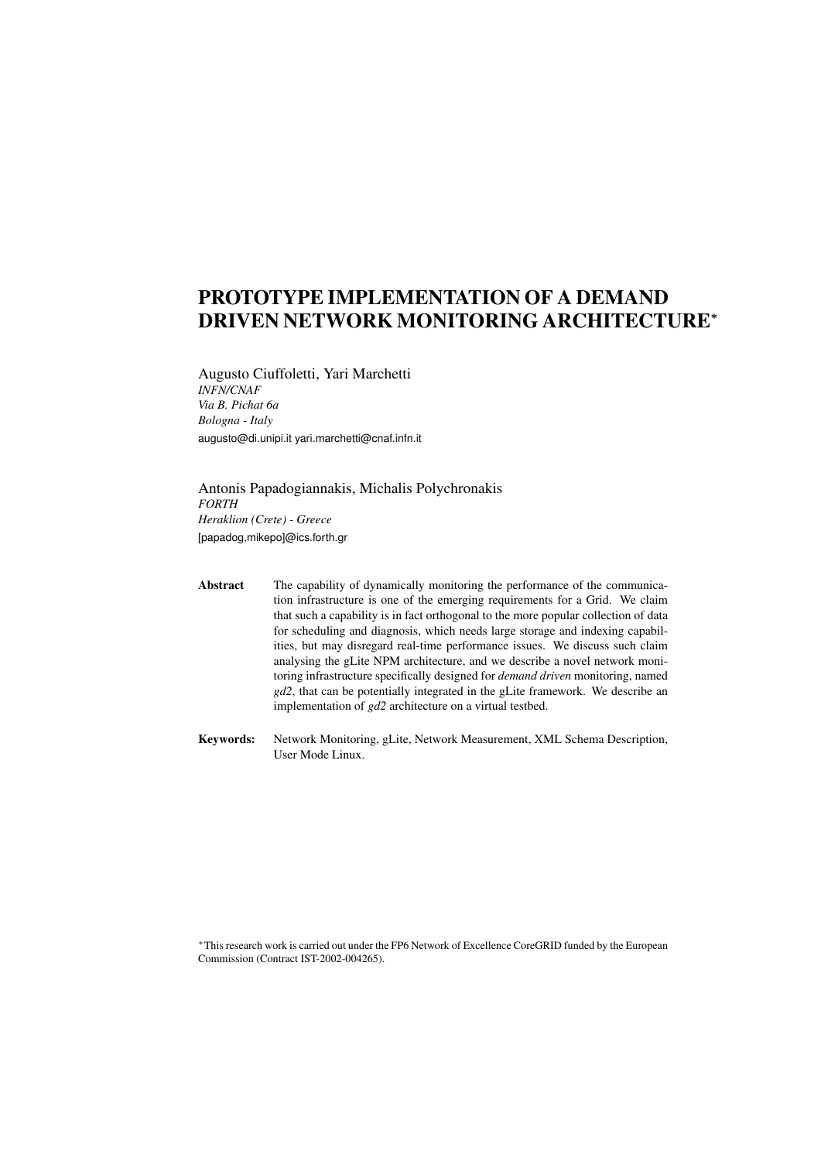# PROTOTYPE IMPLEMENTATION OF A DEMAND DRIVEN NETWORK MONITORING ARCHITECTURE<sup>∗</sup>

Augusto Ciuffoletti, Yari Marchetti *INFN/CNAF Via B. Pichat 6a Bologna - Italy* augusto@di.unipi.it yari.marchetti@cnaf.infn.it

Antonis Papadogiannakis, Michalis Polychronakis *FORTH Heraklion (Crete) - Greece* [papadog,mikepo]@ics.forth.gr

Abstract The capability of dynamically monitoring the performance of the communication infrastructure is one of the emerging requirements for a Grid. We claim that such a capability is in fact orthogonal to the more popular collection of data for scheduling and diagnosis, which needs large storage and indexing capabilities, but may disregard real-time performance issues. We discuss such claim analysing the gLite NPM architecture, and we describe a novel network monitoring infrastructure specifically designed for *demand driven* monitoring, named *gd2*, that can be potentially integrated in the gLite framework. We describe an implementation of *gd2* architecture on a virtual testbed.

Keywords: Network Monitoring, gLite, Network Measurement, XML Schema Description, User Mode Linux.

<sup>∗</sup>This research work is carried out under the FP6 Network of Excellence CoreGRID funded by the European Commission (Contract IST-2002-004265).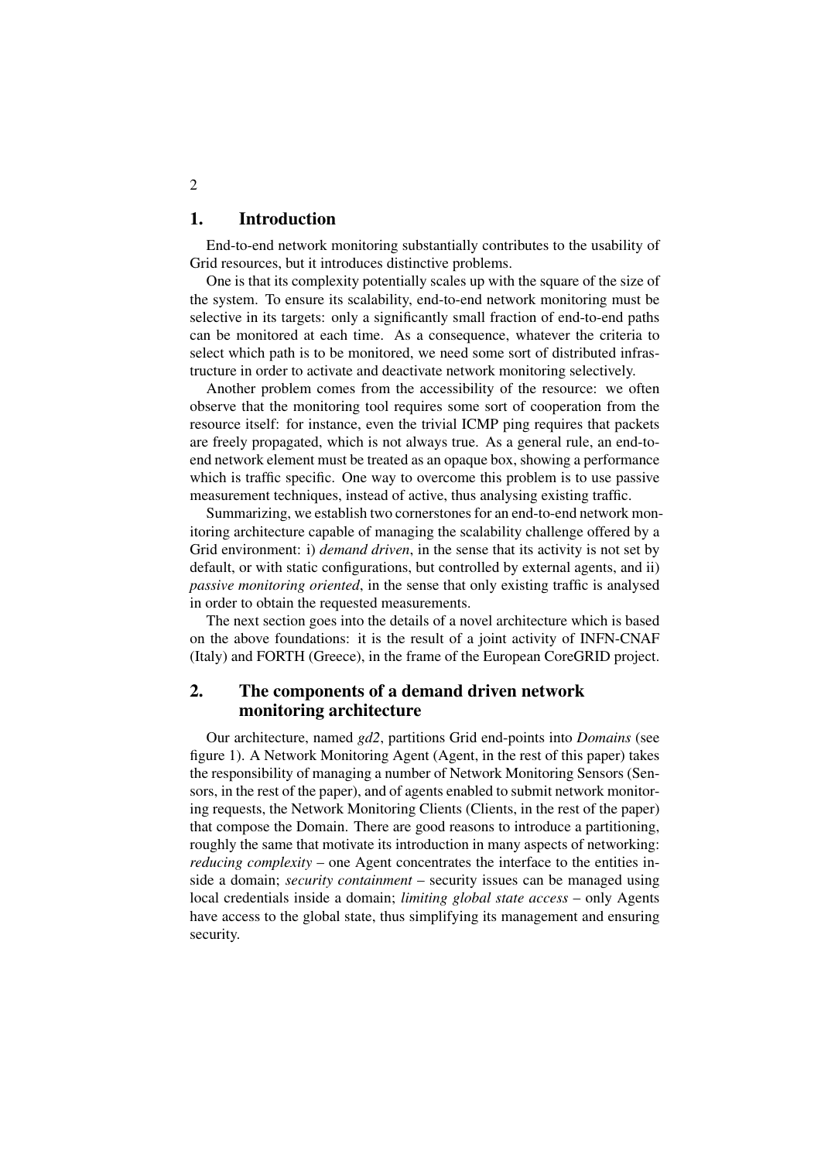#### 1. Introduction

End-to-end network monitoring substantially contributes to the usability of Grid resources, but it introduces distinctive problems.

One is that its complexity potentially scales up with the square of the size of the system. To ensure its scalability, end-to-end network monitoring must be selective in its targets: only a significantly small fraction of end-to-end paths can be monitored at each time. As a consequence, whatever the criteria to select which path is to be monitored, we need some sort of distributed infrastructure in order to activate and deactivate network monitoring selectively.

Another problem comes from the accessibility of the resource: we often observe that the monitoring tool requires some sort of cooperation from the resource itself: for instance, even the trivial ICMP ping requires that packets are freely propagated, which is not always true. As a general rule, an end-toend network element must be treated as an opaque box, showing a performance which is traffic specific. One way to overcome this problem is to use passive measurement techniques, instead of active, thus analysing existing traffic.

Summarizing, we establish two cornerstones for an end-to-end network monitoring architecture capable of managing the scalability challenge offered by a Grid environment: i) *demand driven*, in the sense that its activity is not set by default, or with static configurations, but controlled by external agents, and ii) *passive monitoring oriented*, in the sense that only existing traffic is analysed in order to obtain the requested measurements.

The next section goes into the details of a novel architecture which is based on the above foundations: it is the result of a joint activity of INFN-CNAF (Italy) and FORTH (Greece), in the frame of the European CoreGRID project.

## 2. The components of a demand driven network monitoring architecture

Our architecture, named *gd2*, partitions Grid end-points into *Domains* (see figure 1). A Network Monitoring Agent (Agent, in the rest of this paper) takes the responsibility of managing a number of Network Monitoring Sensors (Sensors, in the rest of the paper), and of agents enabled to submit network monitoring requests, the Network Monitoring Clients (Clients, in the rest of the paper) that compose the Domain. There are good reasons to introduce a partitioning, roughly the same that motivate its introduction in many aspects of networking: *reducing complexity* – one Agent concentrates the interface to the entities inside a domain; *security containment* – security issues can be managed using local credentials inside a domain; *limiting global state access* – only Agents have access to the global state, thus simplifying its management and ensuring security.

2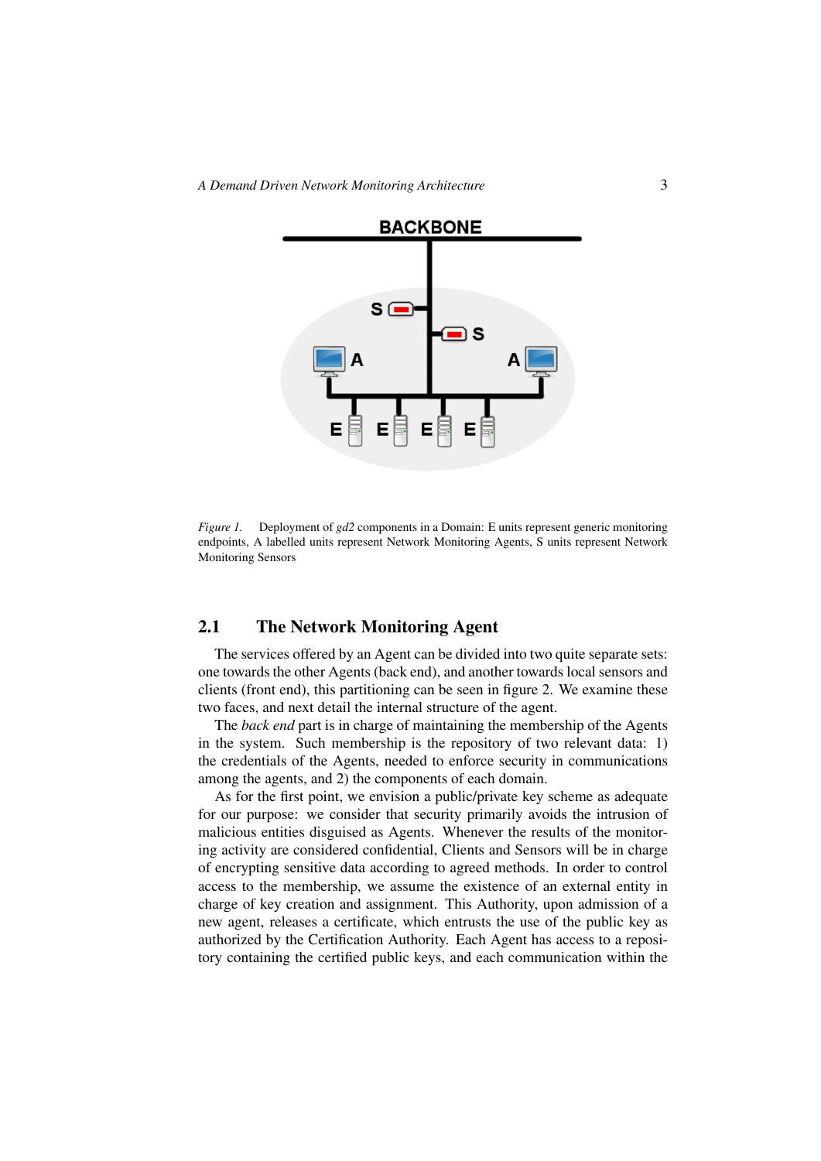

*Figure 1.* Deployment of *gd2* components in a Domain: E units represent generic monitoring endpoints, A labelled units represent Network Monitoring Agents, S units represent Network Monitoring Sensors

## 2.1 The Network Monitoring Agent

The services offered by an Agent can be divided into two quite separate sets: one towards the other Agents (back end), and another towards local sensors and clients (front end), this partitioning can be seen in figure 2. We examine these two faces, and next detail the internal structure of the agent.

The *back end* part is in charge of maintaining the membership of the Agents in the system. Such membership is the repository of two relevant data: 1) the credentials of the Agents, needed to enforce security in communications among the agents, and 2) the components of each domain.

As for the first point, we envision a public/private key scheme as adequate for our purpose: we consider that security primarily avoids the intrusion of malicious entities disguised as Agents. Whenever the results of the monitoring activity are considered confidential, Clients and Sensors will be in charge of encrypting sensitive data according to agreed methods. In order to control access to the membership, we assume the existence of an external entity in charge of key creation and assignment. This Authority, upon admission of a new agent, releases a certificate, which entrusts the use of the public key as authorized by the Certification Authority. Each Agent has access to a repository containing the certified public keys, and each communication within the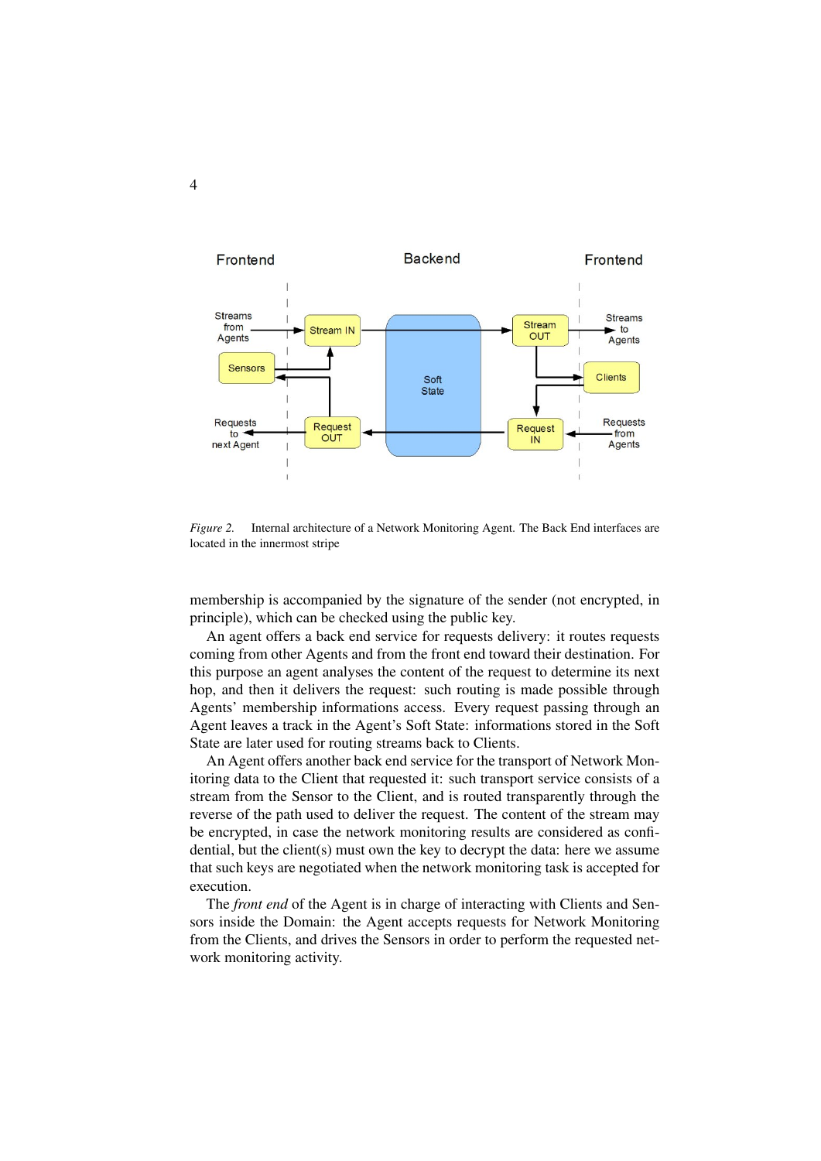

*Figure 2.* Internal architecture of a Network Monitoring Agent. The Back End interfaces are located in the innermost stripe

membership is accompanied by the signature of the sender (not encrypted, in principle), which can be checked using the public key.

An agent offers a back end service for requests delivery: it routes requests coming from other Agents and from the front end toward their destination. For this purpose an agent analyses the content of the request to determine its next hop, and then it delivers the request: such routing is made possible through Agents' membership informations access. Every request passing through an Agent leaves a track in the Agent's Soft State: informations stored in the Soft State are later used for routing streams back to Clients.

An Agent offers another back end service for the transport of Network Monitoring data to the Client that requested it: such transport service consists of a stream from the Sensor to the Client, and is routed transparently through the reverse of the path used to deliver the request. The content of the stream may be encrypted, in case the network monitoring results are considered as confidential, but the client(s) must own the key to decrypt the data: here we assume that such keys are negotiated when the network monitoring task is accepted for execution.

The *front end* of the Agent is in charge of interacting with Clients and Sensors inside the Domain: the Agent accepts requests for Network Monitoring from the Clients, and drives the Sensors in order to perform the requested network monitoring activity.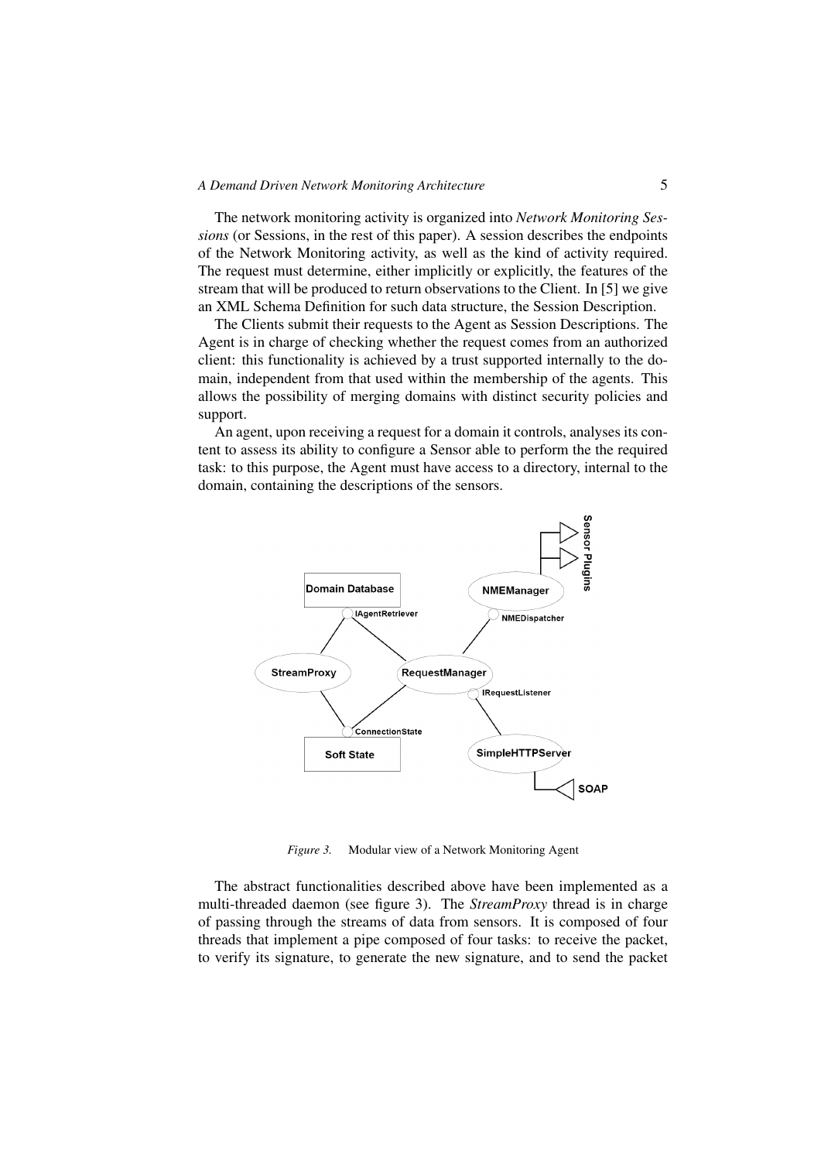The network monitoring activity is organized into *Network Monitoring Sessions* (or Sessions, in the rest of this paper). A session describes the endpoints of the Network Monitoring activity, as well as the kind of activity required. The request must determine, either implicitly or explicitly, the features of the stream that will be produced to return observations to the Client. In [5] we give an XML Schema Definition for such data structure, the Session Description.

The Clients submit their requests to the Agent as Session Descriptions. The Agent is in charge of checking whether the request comes from an authorized client: this functionality is achieved by a trust supported internally to the domain, independent from that used within the membership of the agents. This allows the possibility of merging domains with distinct security policies and support.

An agent, upon receiving a request for a domain it controls, analyses its content to assess its ability to configure a Sensor able to perform the the required task: to this purpose, the Agent must have access to a directory, internal to the domain, containing the descriptions of the sensors.



*Figure 3.* Modular view of a Network Monitoring Agent

The abstract functionalities described above have been implemented as a multi-threaded daemon (see figure 3). The *StreamProxy* thread is in charge of passing through the streams of data from sensors. It is composed of four threads that implement a pipe composed of four tasks: to receive the packet, to verify its signature, to generate the new signature, and to send the packet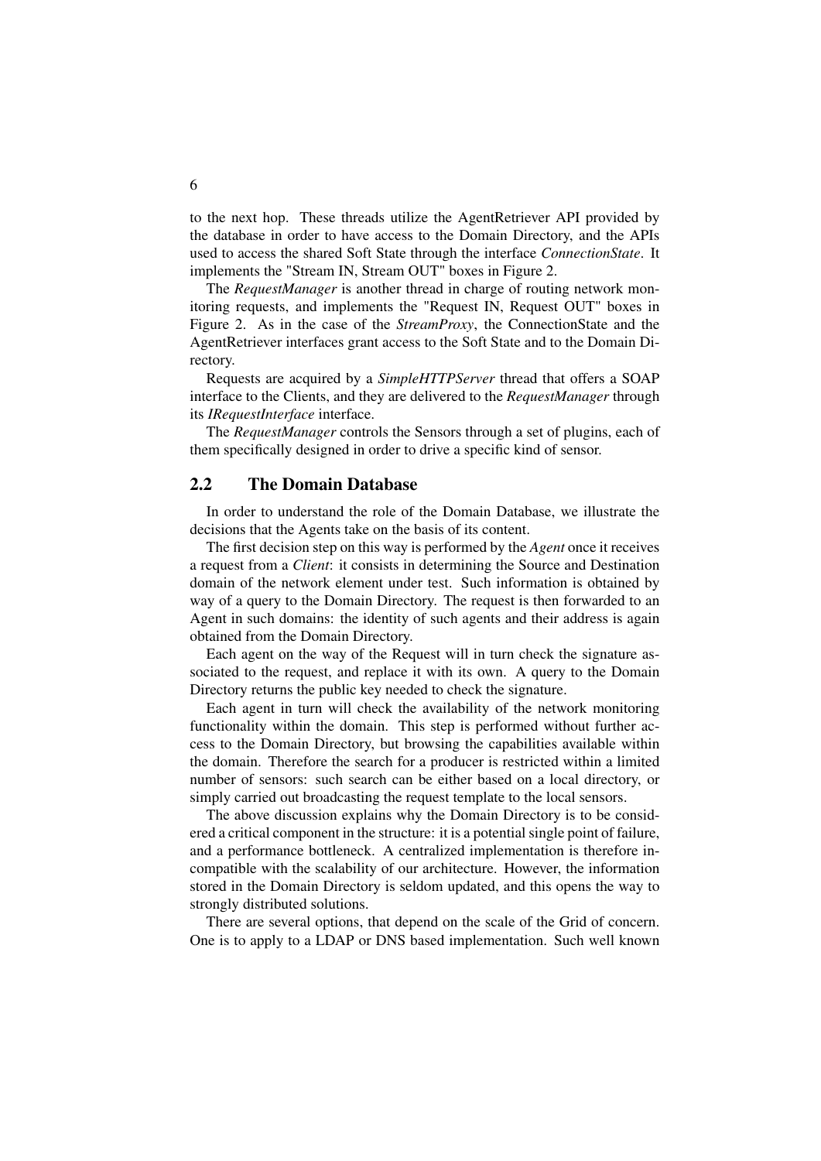to the next hop. These threads utilize the AgentRetriever API provided by the database in order to have access to the Domain Directory, and the APIs used to access the shared Soft State through the interface *ConnectionState*. It implements the "Stream IN, Stream OUT" boxes in Figure 2.

The *RequestManager* is another thread in charge of routing network monitoring requests, and implements the "Request IN, Request OUT" boxes in Figure 2. As in the case of the *StreamProxy*, the ConnectionState and the AgentRetriever interfaces grant access to the Soft State and to the Domain Directory.

Requests are acquired by a *SimpleHTTPServer* thread that offers a SOAP interface to the Clients, and they are delivered to the *RequestManager* through its *IRequestInterface* interface.

The *RequestManager* controls the Sensors through a set of plugins, each of them specifically designed in order to drive a specific kind of sensor.

#### 2.2 The Domain Database

In order to understand the role of the Domain Database, we illustrate the decisions that the Agents take on the basis of its content.

The first decision step on this way is performed by the *Agent* once it receives a request from a *Client*: it consists in determining the Source and Destination domain of the network element under test. Such information is obtained by way of a query to the Domain Directory. The request is then forwarded to an Agent in such domains: the identity of such agents and their address is again obtained from the Domain Directory.

Each agent on the way of the Request will in turn check the signature associated to the request, and replace it with its own. A query to the Domain Directory returns the public key needed to check the signature.

Each agent in turn will check the availability of the network monitoring functionality within the domain. This step is performed without further access to the Domain Directory, but browsing the capabilities available within the domain. Therefore the search for a producer is restricted within a limited number of sensors: such search can be either based on a local directory, or simply carried out broadcasting the request template to the local sensors.

The above discussion explains why the Domain Directory is to be considered a critical component in the structure: it is a potential single point of failure, and a performance bottleneck. A centralized implementation is therefore incompatible with the scalability of our architecture. However, the information stored in the Domain Directory is seldom updated, and this opens the way to strongly distributed solutions.

There are several options, that depend on the scale of the Grid of concern. One is to apply to a LDAP or DNS based implementation. Such well known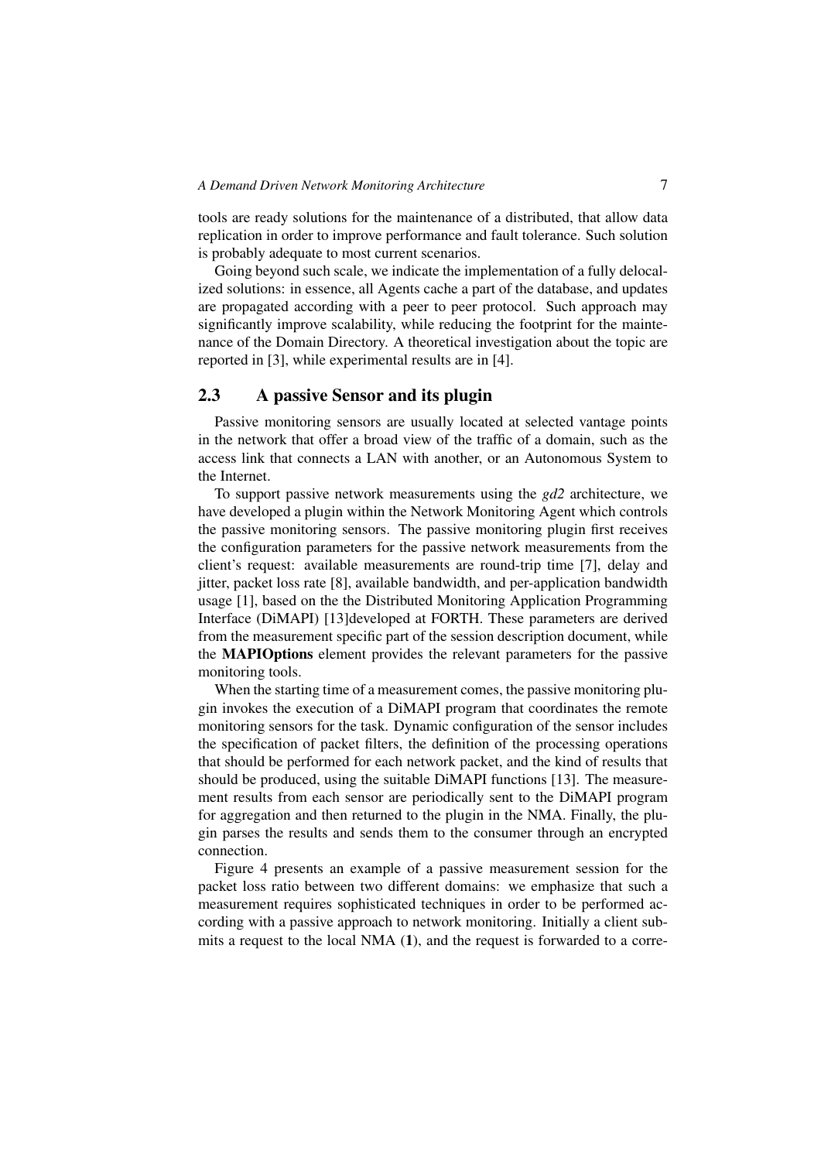tools are ready solutions for the maintenance of a distributed, that allow data replication in order to improve performance and fault tolerance. Such solution is probably adequate to most current scenarios.

Going beyond such scale, we indicate the implementation of a fully delocalized solutions: in essence, all Agents cache a part of the database, and updates are propagated according with a peer to peer protocol. Such approach may significantly improve scalability, while reducing the footprint for the maintenance of the Domain Directory. A theoretical investigation about the topic are reported in [3], while experimental results are in [4].

#### 2.3 A passive Sensor and its plugin

Passive monitoring sensors are usually located at selected vantage points in the network that offer a broad view of the traffic of a domain, such as the access link that connects a LAN with another, or an Autonomous System to the Internet.

To support passive network measurements using the *gd2* architecture, we have developed a plugin within the Network Monitoring Agent which controls the passive monitoring sensors. The passive monitoring plugin first receives the configuration parameters for the passive network measurements from the client's request: available measurements are round-trip time [7], delay and jitter, packet loss rate [8], available bandwidth, and per-application bandwidth usage [1], based on the the Distributed Monitoring Application Programming Interface (DiMAPI) [13]developed at FORTH. These parameters are derived from the measurement specific part of the session description document, while the MAPIOptions element provides the relevant parameters for the passive monitoring tools.

When the starting time of a measurement comes, the passive monitoring plugin invokes the execution of a DiMAPI program that coordinates the remote monitoring sensors for the task. Dynamic configuration of the sensor includes the specification of packet filters, the definition of the processing operations that should be performed for each network packet, and the kind of results that should be produced, using the suitable DiMAPI functions [13]. The measurement results from each sensor are periodically sent to the DiMAPI program for aggregation and then returned to the plugin in the NMA. Finally, the plugin parses the results and sends them to the consumer through an encrypted connection.

Figure 4 presents an example of a passive measurement session for the packet loss ratio between two different domains: we emphasize that such a measurement requires sophisticated techniques in order to be performed according with a passive approach to network monitoring. Initially a client submits a request to the local NMA (1), and the request is forwarded to a corre-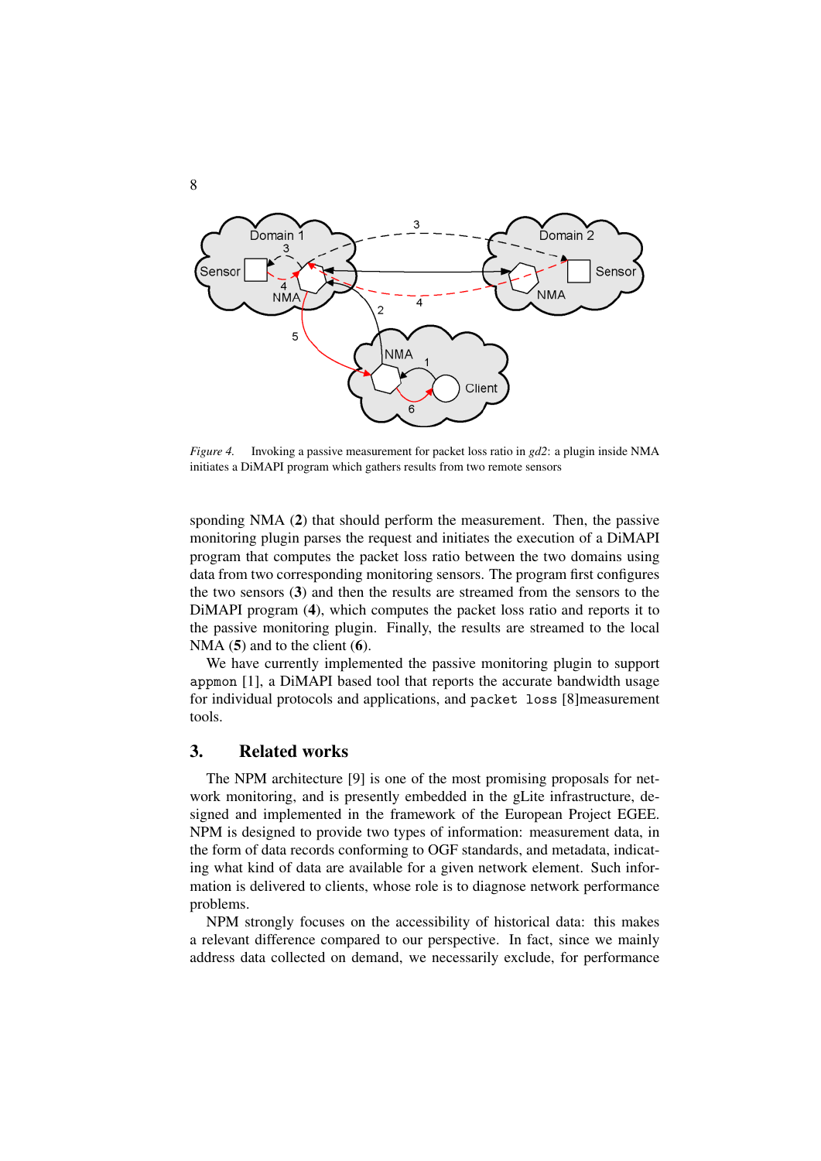

*Figure 4.* Invoking a passive measurement for packet loss ratio in *gd2*: a plugin inside NMA initiates a DiMAPI program which gathers results from two remote sensors

sponding NMA (2) that should perform the measurement. Then, the passive monitoring plugin parses the request and initiates the execution of a DiMAPI program that computes the packet loss ratio between the two domains using data from two corresponding monitoring sensors. The program first configures the two sensors (3) and then the results are streamed from the sensors to the DiMAPI program (4), which computes the packet loss ratio and reports it to the passive monitoring plugin. Finally, the results are streamed to the local NMA  $(5)$  and to the client  $(6)$ .

We have currently implemented the passive monitoring plugin to support appmon [1], a DiMAPI based tool that reports the accurate bandwidth usage for individual protocols and applications, and packet loss [8]measurement tools.

### 3. Related works

The NPM architecture [9] is one of the most promising proposals for network monitoring, and is presently embedded in the gLite infrastructure, designed and implemented in the framework of the European Project EGEE. NPM is designed to provide two types of information: measurement data, in the form of data records conforming to OGF standards, and metadata, indicating what kind of data are available for a given network element. Such information is delivered to clients, whose role is to diagnose network performance problems.

NPM strongly focuses on the accessibility of historical data: this makes a relevant difference compared to our perspective. In fact, since we mainly address data collected on demand, we necessarily exclude, for performance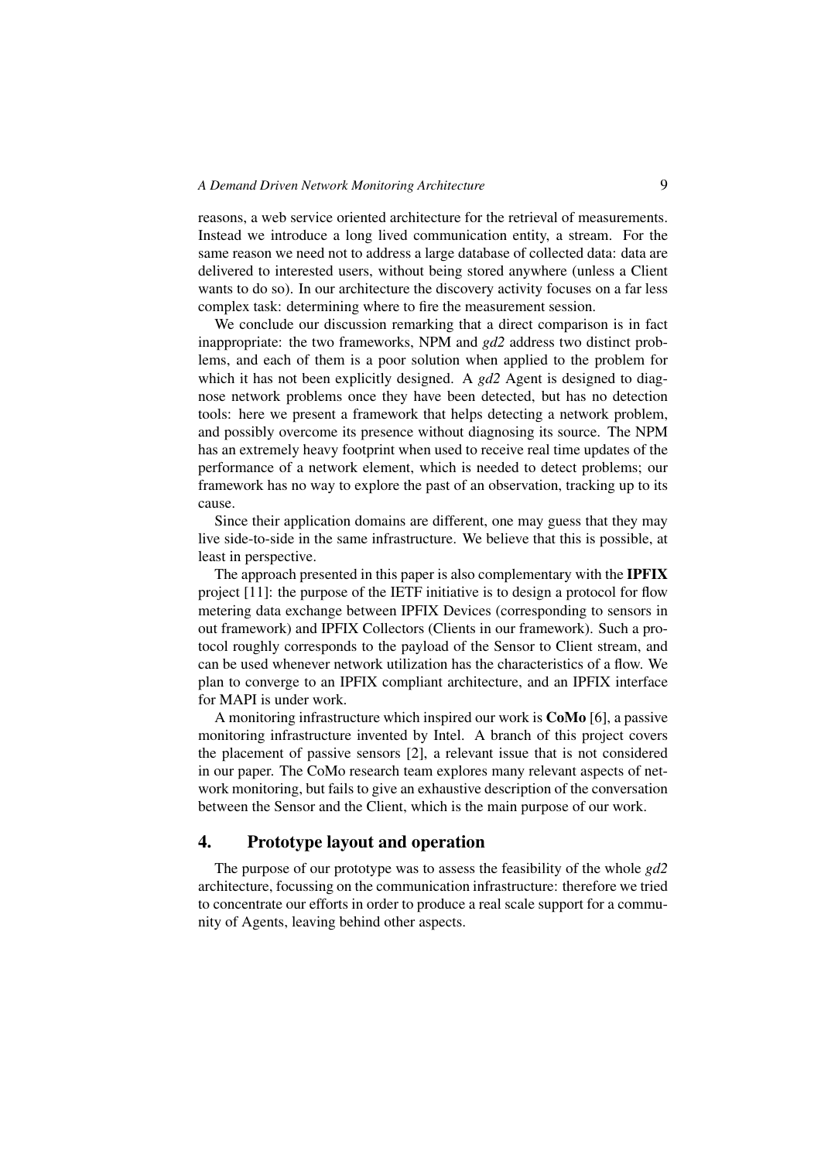reasons, a web service oriented architecture for the retrieval of measurements. Instead we introduce a long lived communication entity, a stream. For the same reason we need not to address a large database of collected data: data are delivered to interested users, without being stored anywhere (unless a Client wants to do so). In our architecture the discovery activity focuses on a far less complex task: determining where to fire the measurement session.

We conclude our discussion remarking that a direct comparison is in fact inappropriate: the two frameworks, NPM and *gd2* address two distinct problems, and each of them is a poor solution when applied to the problem for which it has not been explicitly designed. A *gd2* Agent is designed to diagnose network problems once they have been detected, but has no detection tools: here we present a framework that helps detecting a network problem, and possibly overcome its presence without diagnosing its source. The NPM has an extremely heavy footprint when used to receive real time updates of the performance of a network element, which is needed to detect problems; our framework has no way to explore the past of an observation, tracking up to its cause.

Since their application domains are different, one may guess that they may live side-to-side in the same infrastructure. We believe that this is possible, at least in perspective.

The approach presented in this paper is also complementary with the IPFIX project [11]: the purpose of the IETF initiative is to design a protocol for flow metering data exchange between IPFIX Devices (corresponding to sensors in out framework) and IPFIX Collectors (Clients in our framework). Such a protocol roughly corresponds to the payload of the Sensor to Client stream, and can be used whenever network utilization has the characteristics of a flow. We plan to converge to an IPFIX compliant architecture, and an IPFIX interface for MAPI is under work.

A monitoring infrastructure which inspired our work is CoMo [6], a passive monitoring infrastructure invented by Intel. A branch of this project covers the placement of passive sensors [2], a relevant issue that is not considered in our paper. The CoMo research team explores many relevant aspects of network monitoring, but fails to give an exhaustive description of the conversation between the Sensor and the Client, which is the main purpose of our work.

#### 4. Prototype layout and operation

The purpose of our prototype was to assess the feasibility of the whole *gd2* architecture, focussing on the communication infrastructure: therefore we tried to concentrate our efforts in order to produce a real scale support for a community of Agents, leaving behind other aspects.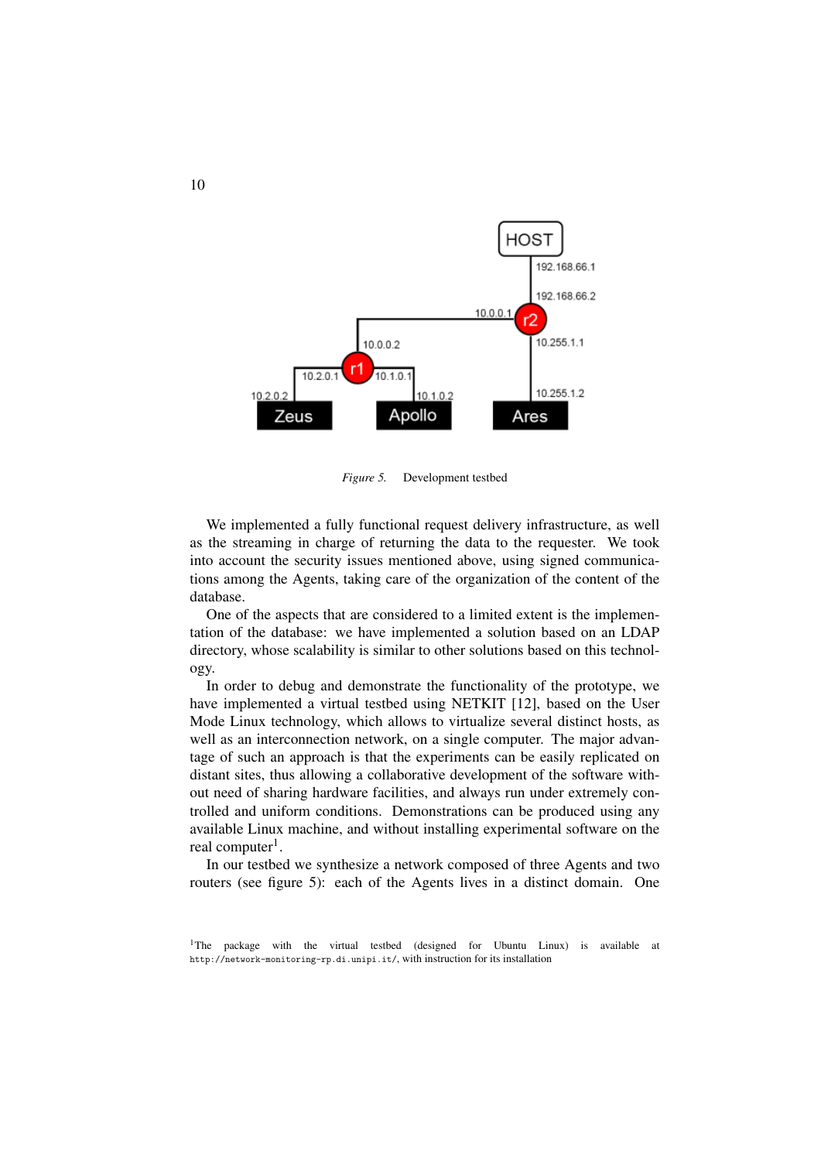

*Figure 5.* Development testbed

We implemented a fully functional request delivery infrastructure, as well as the streaming in charge of returning the data to the requester. We took into account the security issues mentioned above, using signed communications among the Agents, taking care of the organization of the content of the database.

One of the aspects that are considered to a limited extent is the implementation of the database: we have implemented a solution based on an LDAP directory, whose scalability is similar to other solutions based on this technology.

In order to debug and demonstrate the functionality of the prototype, we have implemented a virtual testbed using NETKIT [12], based on the User Mode Linux technology, which allows to virtualize several distinct hosts, as well as an interconnection network, on a single computer. The major advantage of such an approach is that the experiments can be easily replicated on distant sites, thus allowing a collaborative development of the software without need of sharing hardware facilities, and always run under extremely controlled and uniform conditions. Demonstrations can be produced using any available Linux machine, and without installing experimental software on the real computer<sup>1</sup>.

In our testbed we synthesize a network composed of three Agents and two routers (see figure 5): each of the Agents lives in a distinct domain. One

<sup>&</sup>lt;sup>1</sup>The package with the virtual testbed (designed for Ubuntu Linux) is available at http://network-monitoring-rp.di.unipi.it/, with instruction for its installation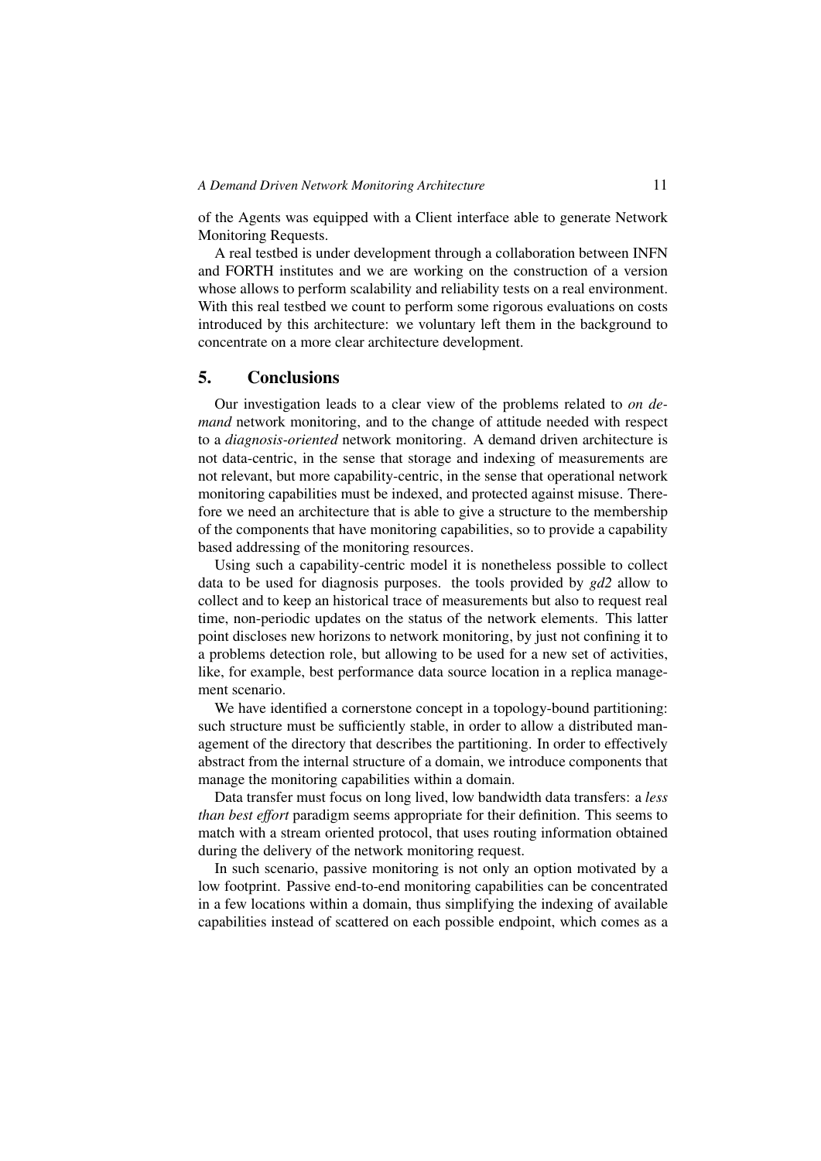of the Agents was equipped with a Client interface able to generate Network Monitoring Requests.

A real testbed is under development through a collaboration between INFN and FORTH institutes and we are working on the construction of a version whose allows to perform scalability and reliability tests on a real environment. With this real testbed we count to perform some rigorous evaluations on costs introduced by this architecture: we voluntary left them in the background to concentrate on a more clear architecture development.

#### 5. Conclusions

Our investigation leads to a clear view of the problems related to *on demand* network monitoring, and to the change of attitude needed with respect to a *diagnosis-oriented* network monitoring. A demand driven architecture is not data-centric, in the sense that storage and indexing of measurements are not relevant, but more capability-centric, in the sense that operational network monitoring capabilities must be indexed, and protected against misuse. Therefore we need an architecture that is able to give a structure to the membership of the components that have monitoring capabilities, so to provide a capability based addressing of the monitoring resources.

Using such a capability-centric model it is nonetheless possible to collect data to be used for diagnosis purposes. the tools provided by *gd2* allow to collect and to keep an historical trace of measurements but also to request real time, non-periodic updates on the status of the network elements. This latter point discloses new horizons to network monitoring, by just not confining it to a problems detection role, but allowing to be used for a new set of activities, like, for example, best performance data source location in a replica management scenario.

We have identified a cornerstone concept in a topology-bound partitioning: such structure must be sufficiently stable, in order to allow a distributed management of the directory that describes the partitioning. In order to effectively abstract from the internal structure of a domain, we introduce components that manage the monitoring capabilities within a domain.

Data transfer must focus on long lived, low bandwidth data transfers: a *less than best effort* paradigm seems appropriate for their definition. This seems to match with a stream oriented protocol, that uses routing information obtained during the delivery of the network monitoring request.

In such scenario, passive monitoring is not only an option motivated by a low footprint. Passive end-to-end monitoring capabilities can be concentrated in a few locations within a domain, thus simplifying the indexing of available capabilities instead of scattered on each possible endpoint, which comes as a